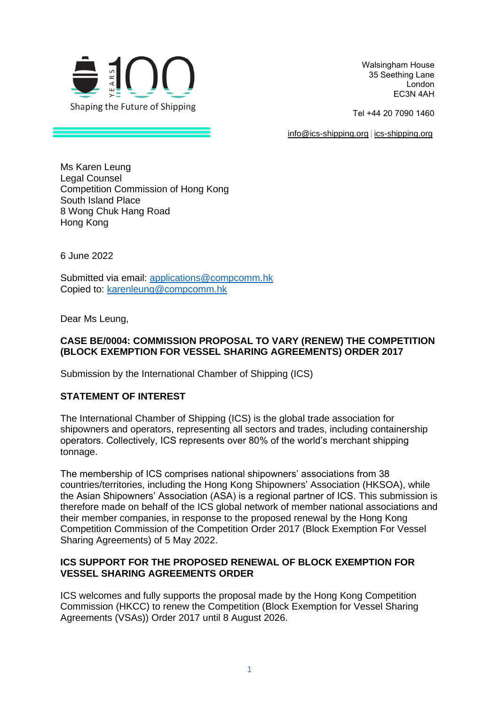

Walsingham House  35 Seething Lane  London  EC3N 4AH 

Tel +44 20 7090 1460 

[info@ics-shipping.org](mailto:info@ics-shipping.org) [| ics-shipping.org](http://www.ics-shipping.org/)

Ms Karen Leung Legal Counsel Competition Commission of Hong Kong South Island Place 8 Wong Chuk Hang Road Hong Kong

6 June 2022

Submitted via email: [applications@compcomm.hk](mailto:applications@compcomm.hk) Copied to: [karenleung@compcomm.hk](mailto:karenleung@compcomm.hk)

Dear Ms Leung,

## **CASE BE/0004: COMMISSION PROPOSAL TO VARY (RENEW) THE COMPETITION (BLOCK EXEMPTION FOR VESSEL SHARING AGREEMENTS) ORDER 2017**

Submission by the International Chamber of Shipping (ICS)

## **STATEMENT OF INTEREST**

The International Chamber of Shipping (ICS) is the global trade association for shipowners and operators, representing all sectors and trades, including containership operators. Collectively, ICS represents over 80% of the world's merchant shipping tonnage.

The membership of ICS comprises national shipowners' associations from 38 countries/territories, including the Hong Kong Shipowners' Association (HKSOA), while the Asian Shipowners' Association (ASA) is a regional partner of ICS. This submission is therefore made on behalf of the ICS global network of member national associations and their member companies, in response to the proposed renewal by the Hong Kong Competition Commission of the Competition Order 2017 (Block Exemption For Vessel Sharing Agreements) of 5 May 2022.

## **ICS SUPPORT FOR THE PROPOSED RENEWAL OF BLOCK EXEMPTION FOR VESSEL SHARING AGREEMENTS ORDER**

ICS welcomes and fully supports the proposal made by the Hong Kong Competition Commission (HKCC) to renew the Competition (Block Exemption for Vessel Sharing Agreements (VSAs)) Order 2017 until 8 August 2026.